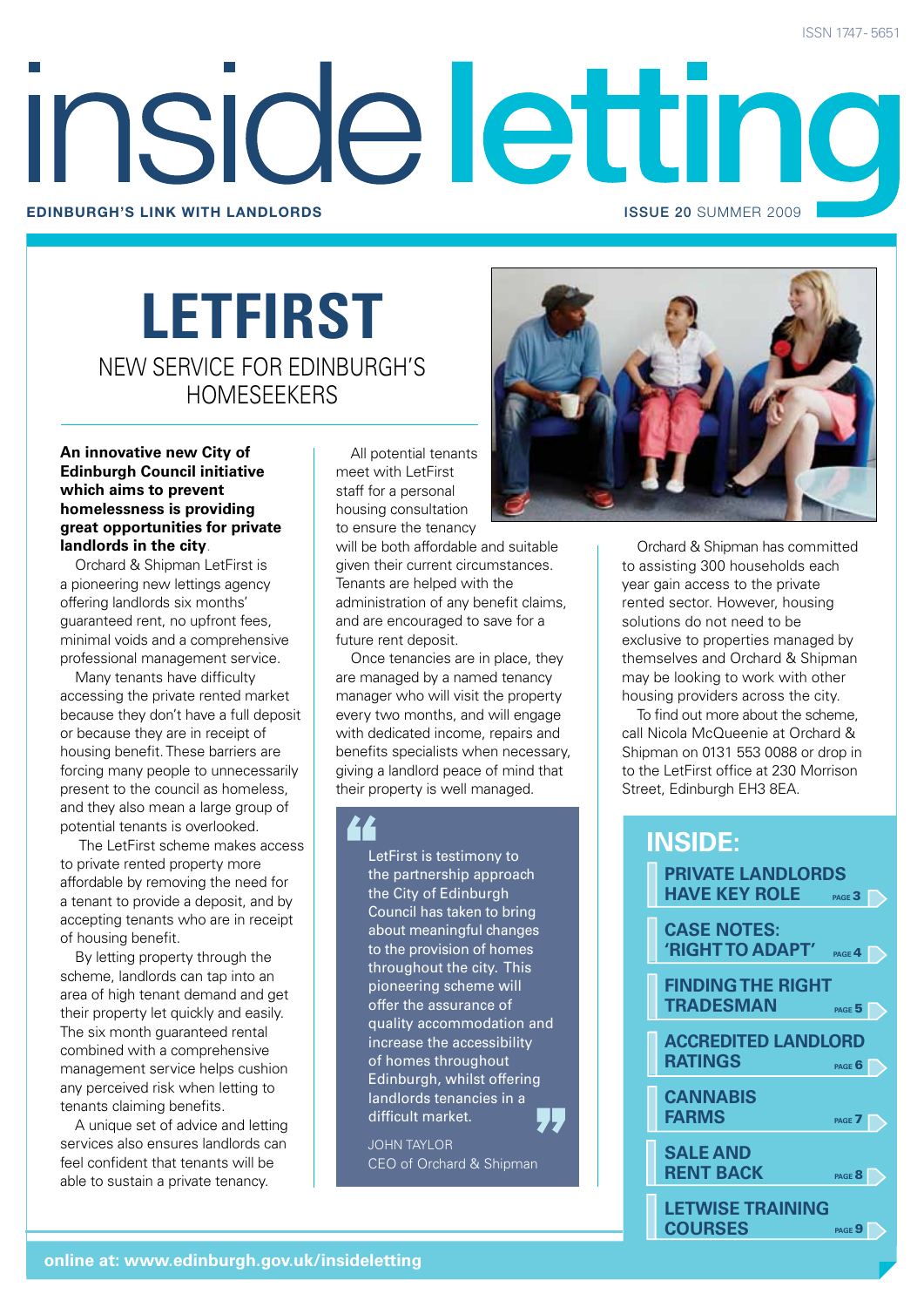# Inside lettino **Edinburgh's link with landlords** issue 20 SUMMER 2009

### **LETFIRST** NEW SERVICE FOR EDINBURGH'S HOMESEEKERS

**An innovative new City of Edinburgh Council initiative which aims to prevent homelessness is providing great opportunities for private landlords in the city**.

Orchard & Shipman LetFirst is a pioneering new lettings agency offering landlords six months' guaranteed rent, no upfront fees, minimal voids and a comprehensive professional management service.

Many tenants have difficulty accessing the private rented market because they don't have a full deposit or because they are in receipt of housing benefit. These barriers are forcing many people to unnecessarily present to the council as homeless, and they also mean a large group of potential tenants is overlooked.

The LetFirst scheme makes access to private rented property more affordable by removing the need for a tenant to provide a deposit, and by accepting tenants who are in receipt of housing benefit.

By letting property through the scheme, landlords can tap into an area of high tenant demand and get their property let quickly and easily. The six month guaranteed rental combined with a comprehensive management service helps cushion any perceived risk when letting to tenants claiming benefits.

A unique set of advice and letting services also ensures landlords can feel confident that tenants will be able to sustain a private tenancy.

All potential tenants meet with LetFirst staff for a personal housing consultation to ensure the tenancy

will be both affordable and suitable given their current circumstances. Tenants are helped with the administration of any benefit claims, and are encouraged to save for a future rent deposit.

Once tenancies are in place, they are managed by a named tenancy manager who will visit the property every two months, and will engage with dedicated income, repairs and benefits specialists when necessary, giving a landlord peace of mind that their property is well managed.

LetFirst is testimony to the partnership approach the City of Edinburgh Council has taken to bring about meaningful changes to the provision of homes throughout the city. This pioneering scheme will offer the assurance of quality accommodation and increase the accessibility of homes throughout Edinburgh, whilst offering landlords tenancies in a difficult market.

JOHN TAYLOR CEO of Orchard & Shipman



Orchard & Shipman has committed to assisting 300 households each year gain access to the private rented sector. However, housing solutions do not need to be exclusive to properties managed by themselves and Orchard & Shipman may be looking to work with other housing providers across the city.

To find out more about the scheme, call Nicola McQueenie at Orchard & Shipman on 0131 553 0088 or drop in to the LetFirst office at 230 Morrison Street, Edinburgh EH3 8EA.

#### **inside: PRIVATE LANDLORDS HAVE KEY ROLE CASE NOTES: 'RIGHT TO ADAPT' FINDING THE RIGHT TRADESMAN ACCREDITED LANDLORD RATINGS CANNABIS FARMS SALE AND RENT BACK LETWISE TRAINING COURSES page** 4 **page 5 page** 6 **page** 7 **PAGE 3 page** 9 **page** 8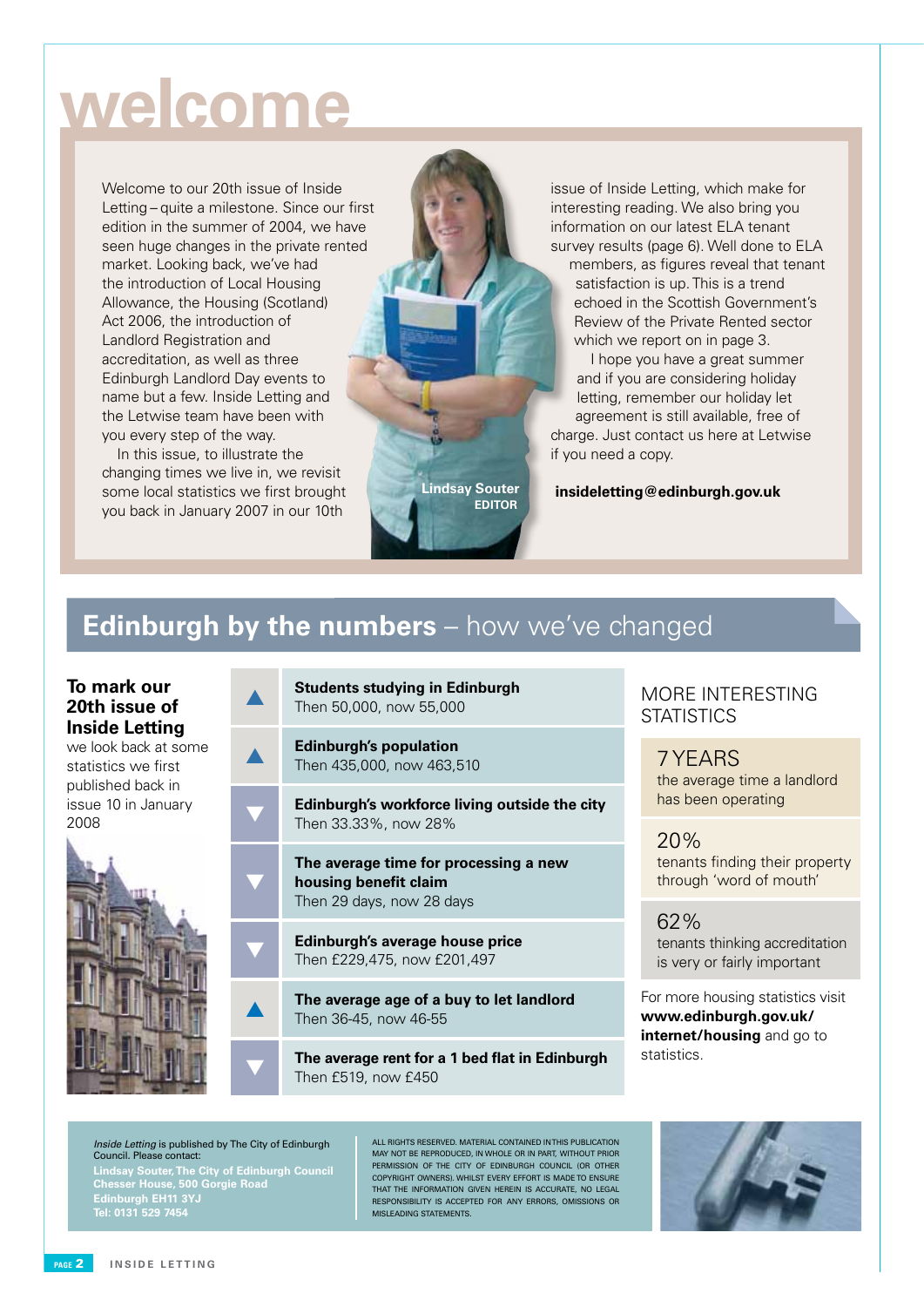# **welcome**

Welcome to our 20th issue of Inside Letting – quite a milestone. Since our first edition in the summer of 2004, we have seen huge changes in the private rented market. Looking back, we've had the introduction of Local Housing Allowance, the Housing (Scotland) Act 2006, the introduction of Landlord Registration and accreditation, as well as three Edinburgh Landlord Day events to name but a few. Inside Letting and the Letwise team have been with you every step of the way.

In this issue, to illustrate the changing times we live in, we revisit some local statistics we first brought you back in January 2007 in our 10th

issue of Inside Letting, which make for interesting reading. We also bring you information on our latest ELA tenant survey results (page 6). Well done to ELA members, as figures reveal that tenant satisfaction is up. This is a trend echoed in the Scottish Government's Review of the Private Rented sector which we report on in page 3.

I hope you have a great summer and if you are considering holiday letting, remember our holiday let agreement is still available, free of charge. Just contact us here at Letwise if you need a copy.

**insideletting@edinburgh.gov.uk**

### **Edinburgh by the numbers** – how we've changed

#### **To mark our 20th issue of Inside Letting**

we look back at some statistics we first published back in issue 10 in January 2008



**Students studying in Edinburgh** Then 50,000, now 55,000

- **Edinburgh's population** Then 435,000, now 463,510
- **Edinburgh's workforce living outside the city** Then 33.33%, now 28%

**Lindsay Souter Editor**

**The average time for processing a new housing benefit claim** Then 29 days, now 28 days

**Edinburgh's average house price** Then £229,475, now £201,497

The average age of a buy to let landlord Then 36-45, now 46-55

The average rent for a 1 bed flat in Edinburgh Then £519, now £450

#### MORE INTERESTING **STATISTICS**

7 YEARS the average time a landlord has been operating

20% tenants finding their property through 'word of mouth'

62% tenants thinking accreditation is very or fairly important

For more housing statistics visit **www.edinburgh.gov.uk/ internet/housing** and go to statistics.

Inside Letting is published by The City of Edinburgh Council. Please contact:

▼

**Lindsay Souter, The City of Edinburgh Council Chesser House, 500 Gorgie Road Edinburgh EH11 3YJ**

All rights reserved. Material contained in this publication may not be reproduced, in whole or in part, without prior permission of the City of Edinburgh Council (OR OTHER COPYRIGHT OWNERS). Whilst every effort is made to ensure that the information given herein is accurate, no legal responsibility is accepted for any errors, omissions or misleading statements.

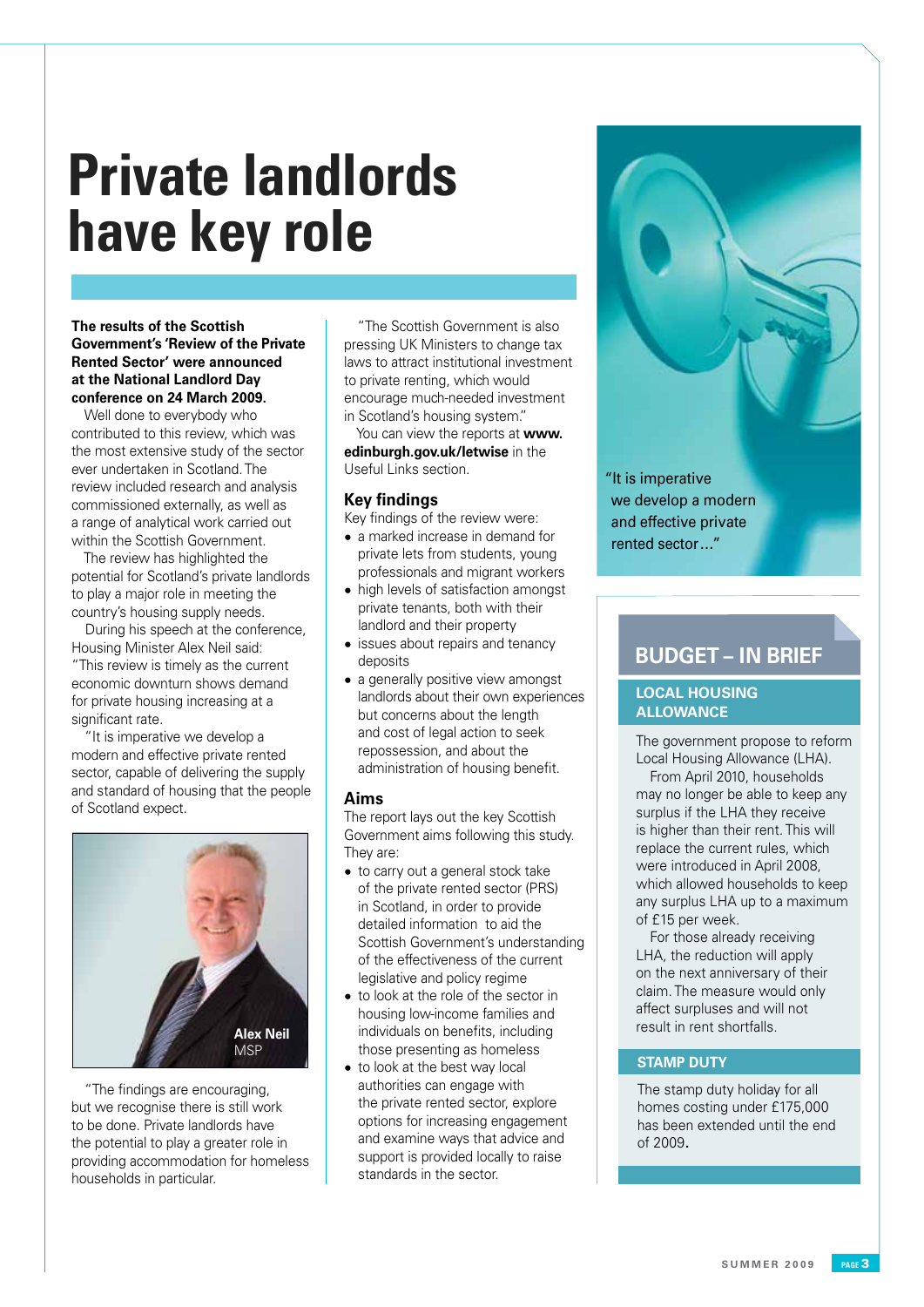# **Private landlords have key role**

**The results of the Scottish Government's 'Review of the Private Rented Sector' were announced at the National Landlord Day conference on 24 March 2009.**

Well done to everybody who contributed to this review, which was the most extensive study of the sector ever undertaken in Scotland. The review included research and analysis commissioned externally, as well as a range of analytical work carried out within the Scottish Government.

The review has highlighted the potential for Scotland's private landlords to play a major role in meeting the country's housing supply needs.

During his speech at the conference, Housing Minister Alex Neil said: "This review is timely as the current economic downturn shows demand for private housing increasing at a significant rate.

"It is imperative we develop a modern and effective private rented sector, capable of delivering the supply and standard of housing that the people of Scotland expect.



"The findings are encouraging. but we recognise there is still work to be done. Private landlords have the potential to play a greater role in providing accommodation for homeless households in particular.

"The Scottish Government is also pressing UK Ministers to change tax laws to attract institutional investment to private renting, which would encourage much-needed investment in Scotland's housing system."

You can view the reports at **www. edinburgh.gov.uk/letwise** in the Useful Links section.

#### **Key findings**

Key findings of the review were:

- a marked increase in demand for private lets from students, young professionals and migrant workers
- high levels of satisfaction amongst private tenants, both with their landlord and their property
- issues about repairs and tenancy deposits
- a generally positive view amongst landlords about their own experiences but concerns about the length and cost of legal action to seek repossession, and about the administration of housing benefit.

#### **Aims**

The report lays out the key Scottish Government aims following this study. They are:

- to carry out a general stock take of the private rented sector (PRS) in Scotland, in order to provide detailed information to aid the Scottish Government's understanding of the effectiveness of the current legislative and policy regime
- to look at the role of the sector in housing low-income families and individuals on benefits, including those presenting as homeless
- to look at the best way local authorities can engage with the private rented sector, explore options for increasing engagement and examine ways that advice and support is provided locally to raise standards in the sector.

"It is imperative we develop a modern and effective private rented sector …"

### **BUDGET – IN BRIEF**

#### **LOCAL HOUSING ALLOWANCE**

The government propose to reform Local Housing Allowance (LHA).

From April 2010, households may no longer be able to keep any surplus if the LHA they receive is higher than their rent. This will replace the current rules, which were introduced in April 2008, which allowed households to keep any surplus LHA up to a maximum of £15 per week.

For those already receiving LHA, the reduction will apply on the next anniversary of their claim. The measure would only affect surpluses and will not result in rent shortfalls.

#### **STAMP DUTY**

The stamp duty holiday for all homes costing under £175,000 has been extended until the end of 2009.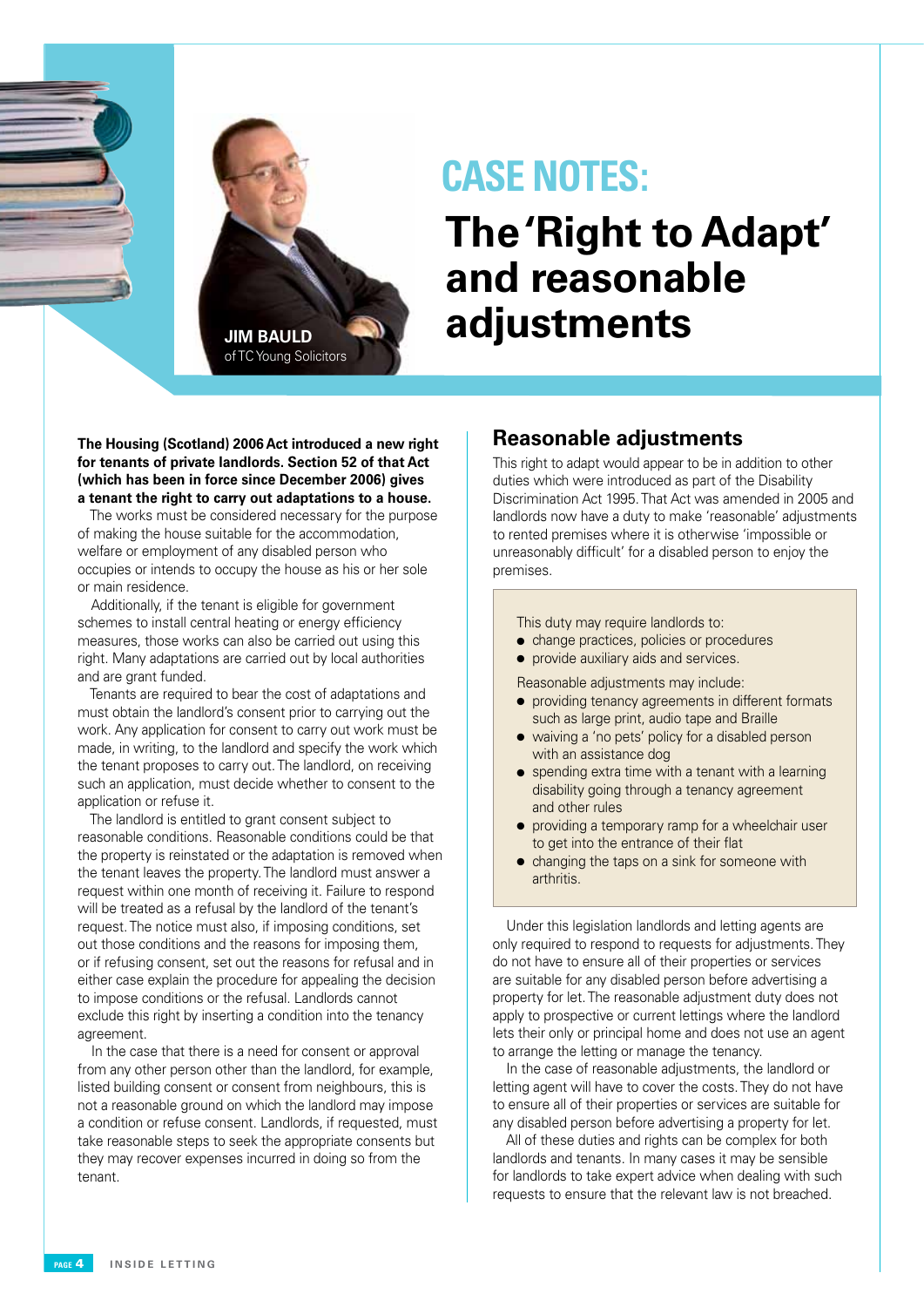

### **CASE NOTES:**

# **The 'Right to Adapt' and reasonable adjustments**

**The Housing (Scotland) 2006 Act introduced a new right for tenants of private landlords. Section 52 of that Act (which has been in force since December 2006) gives a tenant the right to carry out adaptations to a house.**

The works must be considered necessary for the purpose of making the house suitable for the accommodation, welfare or employment of any disabled person who occupies or intends to occupy the house as his or her sole or main residence.

Additionally, if the tenant is eligible for government schemes to install central heating or energy efficiency measures, those works can also be carried out using this right. Many adaptations are carried out by local authorities and are grant funded.

Tenants are required to bear the cost of adaptations and must obtain the landlord's consent prior to carrying out the work. Any application for consent to carry out work must be made, in writing, to the landlord and specify the work which the tenant proposes to carry out.The landlord, on receiving such an application, must decide whether to consent to the application or refuse it.

The landlord is entitled to grant consent subject to reasonable conditions. Reasonable conditions could be that the property is reinstated or the adaptation is removed when the tenant leaves the property. The landlord must answer a request within one month of receiving it. Failure to respond will be treated as a refusal by the landlord of the tenant's request.The notice must also, if imposing conditions, set out those conditions and the reasons for imposing them, or if refusing consent, set out the reasons for refusal and in either case explain the procedure for appealing the decision to impose conditions or the refusal. Landlords cannot exclude this right by inserting a condition into the tenancy agreement.

In the case that there is a need for consent or approval from any other person other than the landlord, for example, listed building consent or consent from neighbours, this is not a reasonable ground on which the landlord may impose a condition or refuse consent. Landlords, if requested, must take reasonable steps to seek the appropriate consents but they may recover expenses incurred in doing so from the tenant.

#### **Reasonable adjustments**

This right to adapt would appear to be in addition to other duties which were introduced as part of the Disability Discrimination Act 1995. That Act was amended in 2005 and landlords now have a duty to make 'reasonable' adjustments to rented premises where it is otherwise 'impossible or unreasonably difficult' for a disabled person to enjoy the premises.

This duty may require landlords to:

- change practices, policies or procedures
- **•** provide auxiliary aids and services.

Reasonable adjustments may include:

- providing tenancy agreements in different formats such as large print, audio tape and Braille
- waiving a 'no pets' policy for a disabled person with an assistance dog
- $\bullet$  spending extra time with a tenant with a learning disability going through a tenancy agreement and other rules
- providing a temporary ramp for a wheelchair user to get into the entrance of their flat
- $\bullet$  changing the taps on a sink for someone with arthritis.

Under this legislation landlords and letting agents are only required to respond to requests for adjustments. They do not have to ensure all of their properties or services are suitable for any disabled person before advertising a property for let. The reasonable adjustment duty does not apply to prospective or current lettings where the landlord lets their only or principal home and does not use an agent to arrange the letting or manage the tenancy.

In the case of reasonable adjustments, the landlord or letting agent will have to cover the costs. They do not have to ensure all of their properties or services are suitable for any disabled person before advertising a property for let.

All of these duties and rights can be complex for both landlords and tenants. In many cases it may be sensible for landlords to take expert advice when dealing with such requests to ensure that the relevant law is not breached.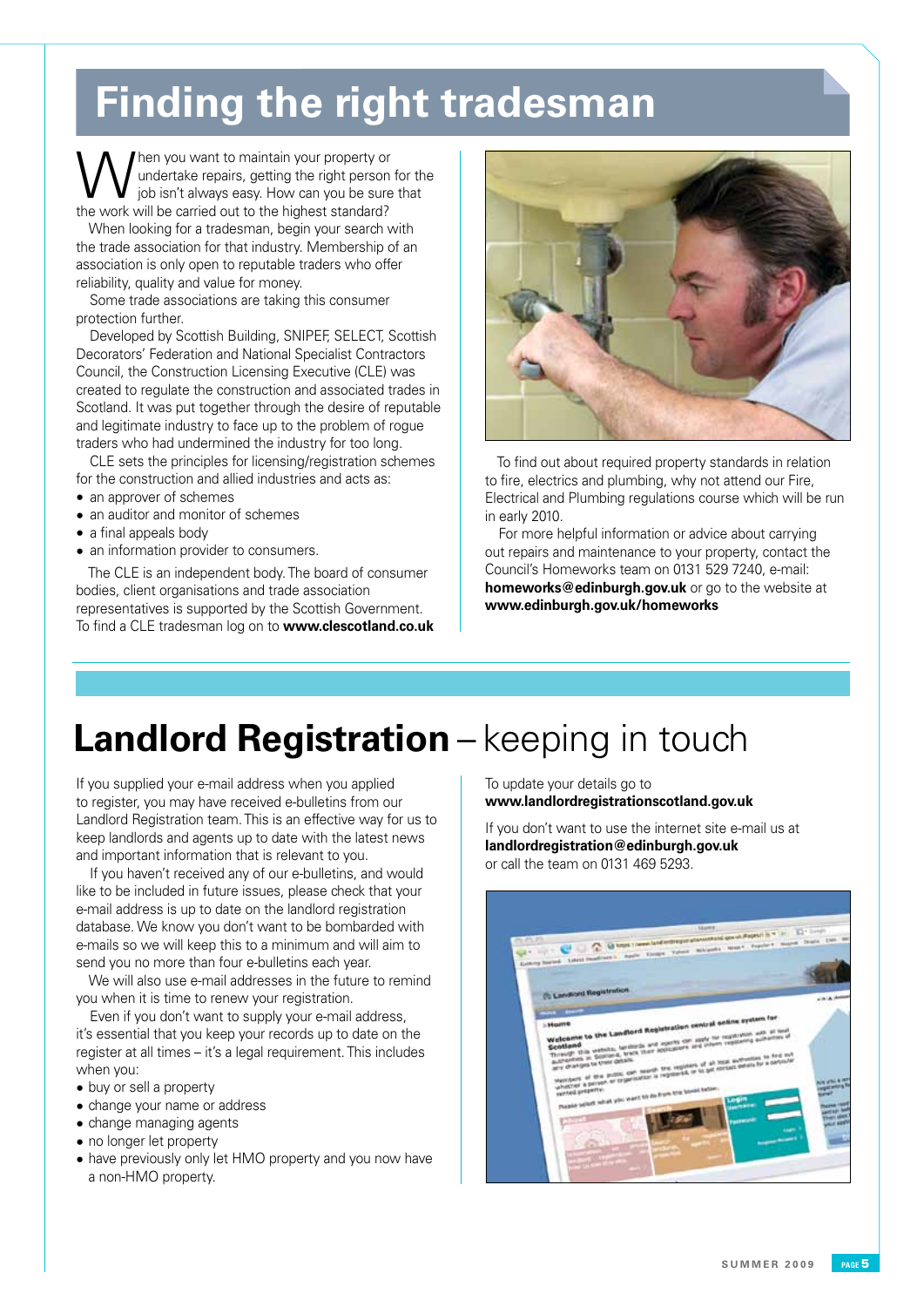# **Finding the right tradesman**

When you want to maintain your property or<br>
job isn't always easy. How can you be sure that<br>
the work will be earsied out to the bisheet steeded? undertake repairs, getting the right person for the the work will be carried out to the highest standard?

When looking for a tradesman, begin your search with the trade association for that industry. Membership of an association is only open to reputable traders who offer reliability, quality and value for money.

Some trade associations are taking this consumer protection further.

Developed by Scottish Building, SNIPEF, SELECT, Scottish Decorators' Federation and National Specialist Contractors Council, the Construction Licensing Executive (CLE) was created to regulate the construction and associated trades in Scotland. It was put together through the desire of reputable and legitimate industry to face up to the problem of rogue traders who had undermined the industry for too long.

CLE sets the principles for licensing/registration schemes for the construction and allied industries and acts as:

- an approver of schemes
- an auditor and monitor of schemes
- a final appeals body
- an information provider to consumers.

The CLE is an independent body. The board of consumer bodies, client organisations and trade association representatives is supported by the Scottish Government. To find a CLE tradesman log on to **www.clescotland.co.uk**



To find out about required property standards in relation to fire, electrics and plumbing, why not attend our Fire, Electrical and Plumbing regulations course which will be run in early 2010.

For more helpful information or advice about carrying out repairs and maintenance to your property, contact the Council's Homeworks team on 0131 529 7240, e-mail: **homeworks@edinburgh.gov.uk** or go to the website at **www.edinburgh.gov.uk/homeworks**

## **Landlord Registration** – keeping in touch

If you supplied your e-mail address when you applied to register, you may have received e-bulletins from our Landlord Registration team. This is an effective way for us to keep landlords and agents up to date with the latest news and important information that is relevant to you.

If you haven't received any of our e-bulletins, and would like to be included in future issues, please check that your e-mail address is up to date on the landlord registration database. We know you don't want to be bombarded with e-mails so we will keep this to a minimum and will aim to send you no more than four e-bulletins each year.

We will also use e-mail addresses in the future to remind you when it is time to renew your registration.

Even if you don't want to supply your e-mail address, it's essential that you keep your records up to date on the register at all times – it's a legal requirement. This includes when you:

- buy or sell a property
- change your name or address
- change managing agents
- no longer let property
- have previously only let HMO property and you now have a non-HMO property.

To update your details go to **www.landlordregistrationscotland.gov.uk**

If you don't want to use the internet site e-mail us at **landlordregistration@edinburgh.gov.uk** or call the team on 0131 469 5293.

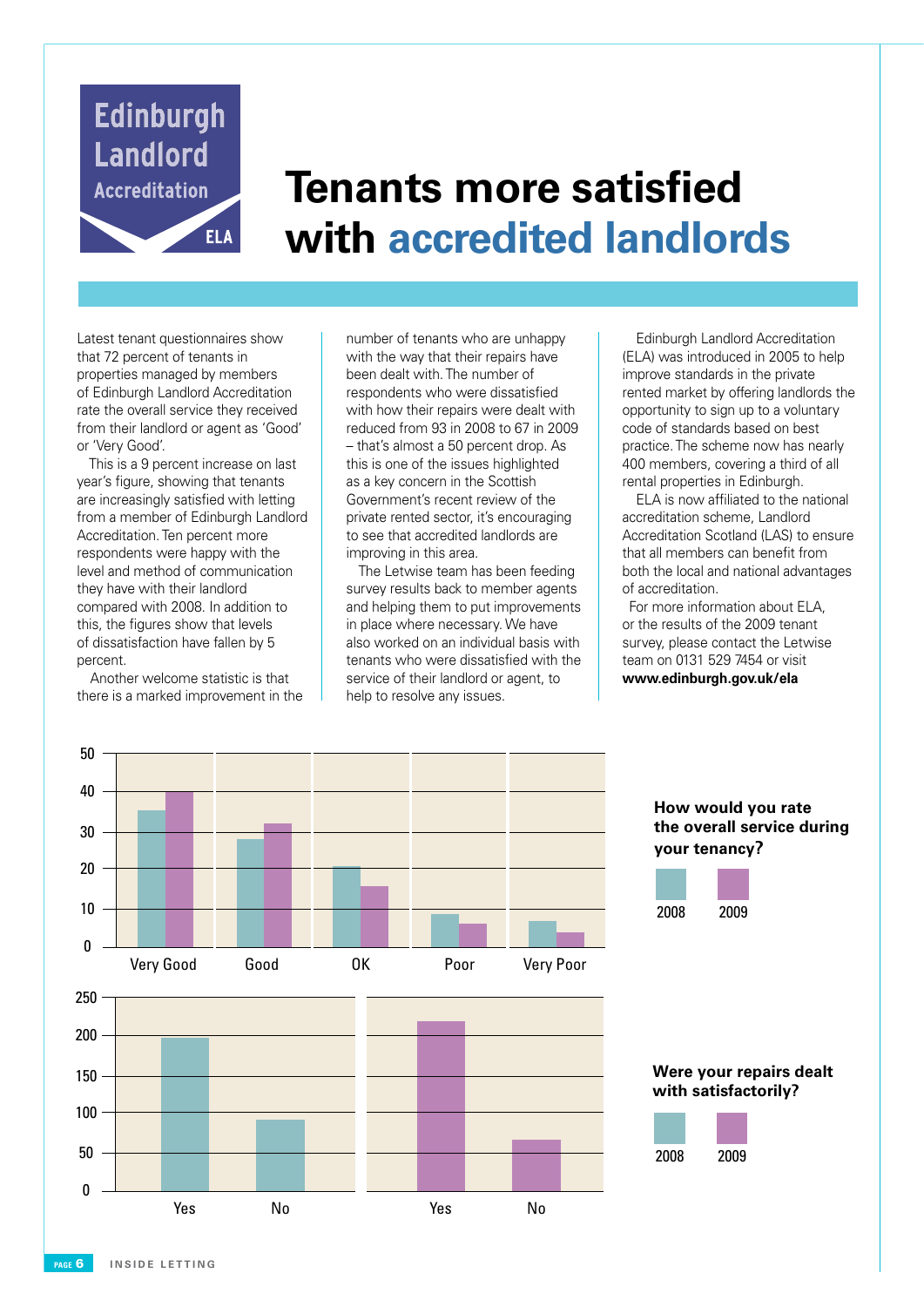

# **Tenants more satisfied with accredited landlords**

Latest tenant questionnaires show that 72 percent of tenants in properties managed by members of Edinburgh Landlord Accreditation rate the overall service they received from their landlord or agent as 'Good' or 'Very Good'.

This is a 9 percent increase on last year's figure, showing that tenants are increasingly satisfied with letting from a member of Edinburgh Landlord Accreditation. Ten percent more respondents were happy with the level and method of communication they have with their landlord compared with 2008. In addition to this, the figures show that levels of dissatisfaction have fallen by 5 percent.

Another welcome statistic is that there is a marked improvement in the

number of tenants who are unhappy with the way that their repairs have been dealt with. The number of respondents who were dissatisfied with how their repairs were dealt with reduced from 93 in 2008 to 67 in 2009 – that's almost a 50 percent drop. As this is one of the issues highlighted as a key concern in the Scottish Government's recent review of the private rented sector, it's encouraging to see that accredited landlords are improving in this area.

The Letwise team has been feeding survey results back to member agents and helping them to put improvements in place where necessary. We have also worked on an individual basis with tenants who were dissatisfied with the service of their landlord or agent, to help to resolve any issues.

Edinburgh Landlord Accreditation (ELA) was introduced in 2005 to help improve standards in the private rented market by offering landlords the opportunity to sign up to a voluntary code of standards based on best practice. The scheme now has nearly 400 members, covering a third of all rental properties in Edinburgh.

ELA is now affiliated to the national accreditation scheme, Landlord Accreditation Scotland (LAS) to ensure that all members can benefit from both the local and national advantages of accreditation.

For more information about ELA, or the results of the 2009 tenant survey, please contact the Letwise team on 0131 529 7454 or visit **www.edinburgh.gov.uk/ela**

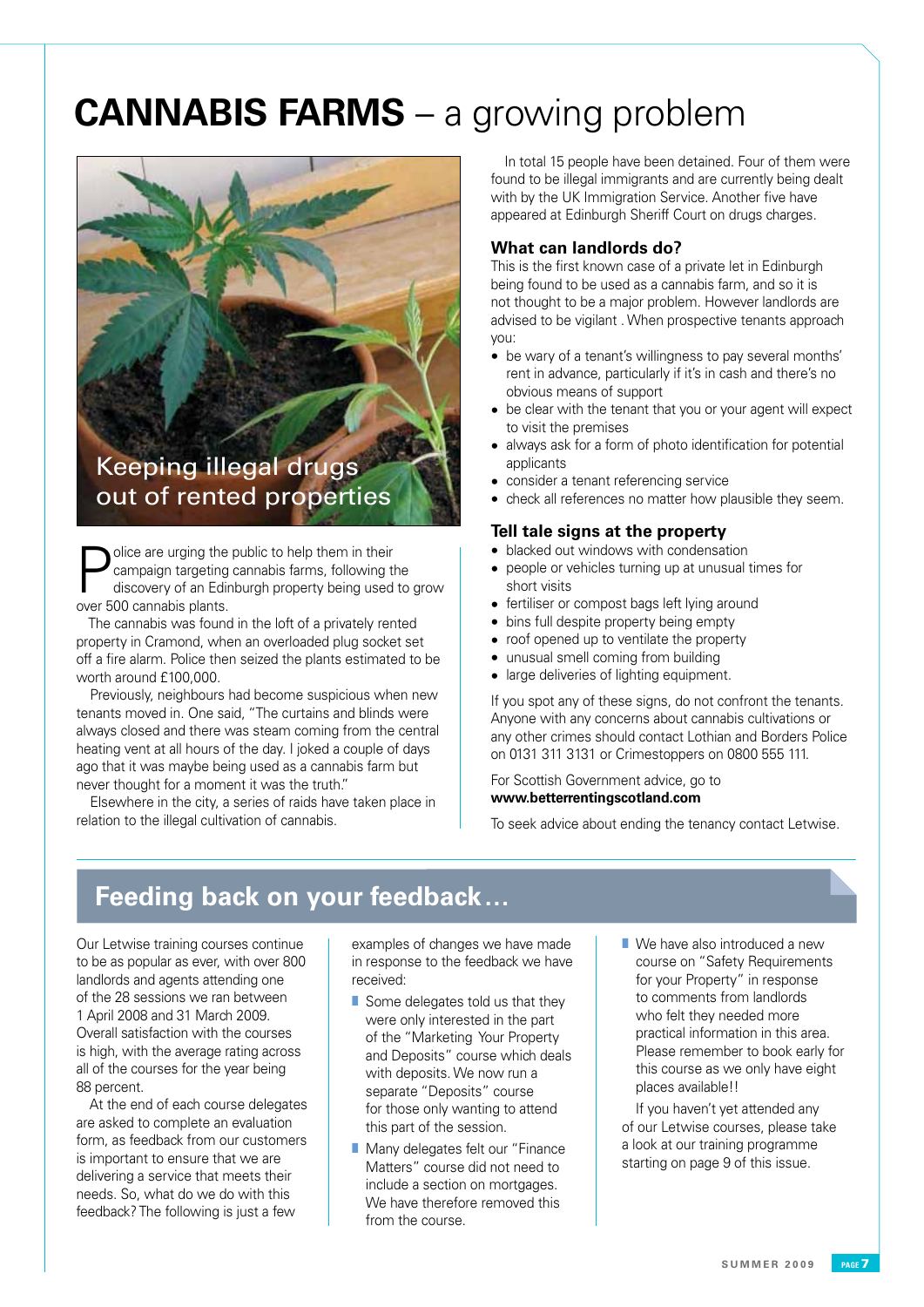# **CANNABIS FARMS** – a growing problem



### Keeping illegal drugs out of rented properties

**Police are urging the public to help them in their**<br>
discovery of an Edinburgh property being used to grow<br>
and EQ cannobia platts campaign targeting cannabis farms, following the over 500 cannabis plants.

The cannabis was found in the loft of a privately rented property in Cramond, when an overloaded plug socket set off a fire alarm. Police then seized the plants estimated to be worth around £100,000.

Previously, neighbours had become suspicious when new tenants moved in. One said, "The curtains and blinds were always closed and there was steam coming from the central heating vent at all hours of the day. I joked a couple of days ago that it was maybe being used as a cannabis farm but never thought for a moment it was the truth."

Elsewhere in the city, a series of raids have taken place in relation to the illegal cultivation of cannabis.

In total 15 people have been detained. Four of them were found to be illegal immigrants and are currently being dealt with by the UK Immigration Service. Another five have appeared at Edinburgh Sheriff Court on drugs charges.

#### **What can landlords do?**

This is the first known case of a private let in Edinburgh being found to be used as a cannabis farm, and so it is not thought to be a major problem. However landlords are advised to be vigilant . When prospective tenants approach you:

- be wary of a tenant's willingness to pay several months' rent in advance, particularly if it's in cash and there's no obvious means of support
- be clear with the tenant that you or your agent will expect to visit the premises
- always ask for a form of photo identification for potential applicants
- consider a tenant referencing service
- check all references no matter how plausible they seem.

#### **Tell tale signs at the property**

- blacked out windows with condensation
- people or vehicles turning up at unusual times for short visits
- fertiliser or compost bags left lying around
- bins full despite property being empty
- roof opened up to ventilate the property
- unusual smell coming from building
- large deliveries of lighting equipment.

If you spot any of these signs, do not confront the tenants. Anyone with any concerns about cannabis cultivations or any other crimes should contact Lothian and Borders Police on 0131 311 3131 or Crimestoppers on 0800 555 111.

For Scottish Government advice, go to **www.betterrentingscotland.com** 

To seek advice about ending the tenancy contact Letwise.

### **Feeding back on your feedback…**

Our Letwise training courses continue to be as popular as ever, with over 800 landlords and agents attending one of the 28 sessions we ran between 1 April 2008 and 31 March 2009. Overall satisfaction with the courses is high, with the average rating across all of the courses for the year being 88 percent.

At the end of each course delegates are asked to complete an evaluation form, as feedback from our customers is important to ensure that we are delivering a service that meets their needs. So, what do we do with this feedback? The following is just a few

examples of changes we have made in response to the feedback we have received:

- Some delegates told us that they were only interested in the part of the "Marketing Your Property and Deposits" course which deals with deposits. We now run a separate "Deposits" course for those only wanting to attend this part of the session.
- Many delegates felt our "Finance Matters" course did not need to include a section on mortgages. We have therefore removed this from the course.
- We have also introduced a new course on "Safety Requirements for your Property" in response to comments from landlords who felt they needed more practical information in this area. Please remember to book early for this course as we only have eight places available!!

If you haven't yet attended any of our Letwise courses, please take a look at our training programme starting on page 9 of this issue.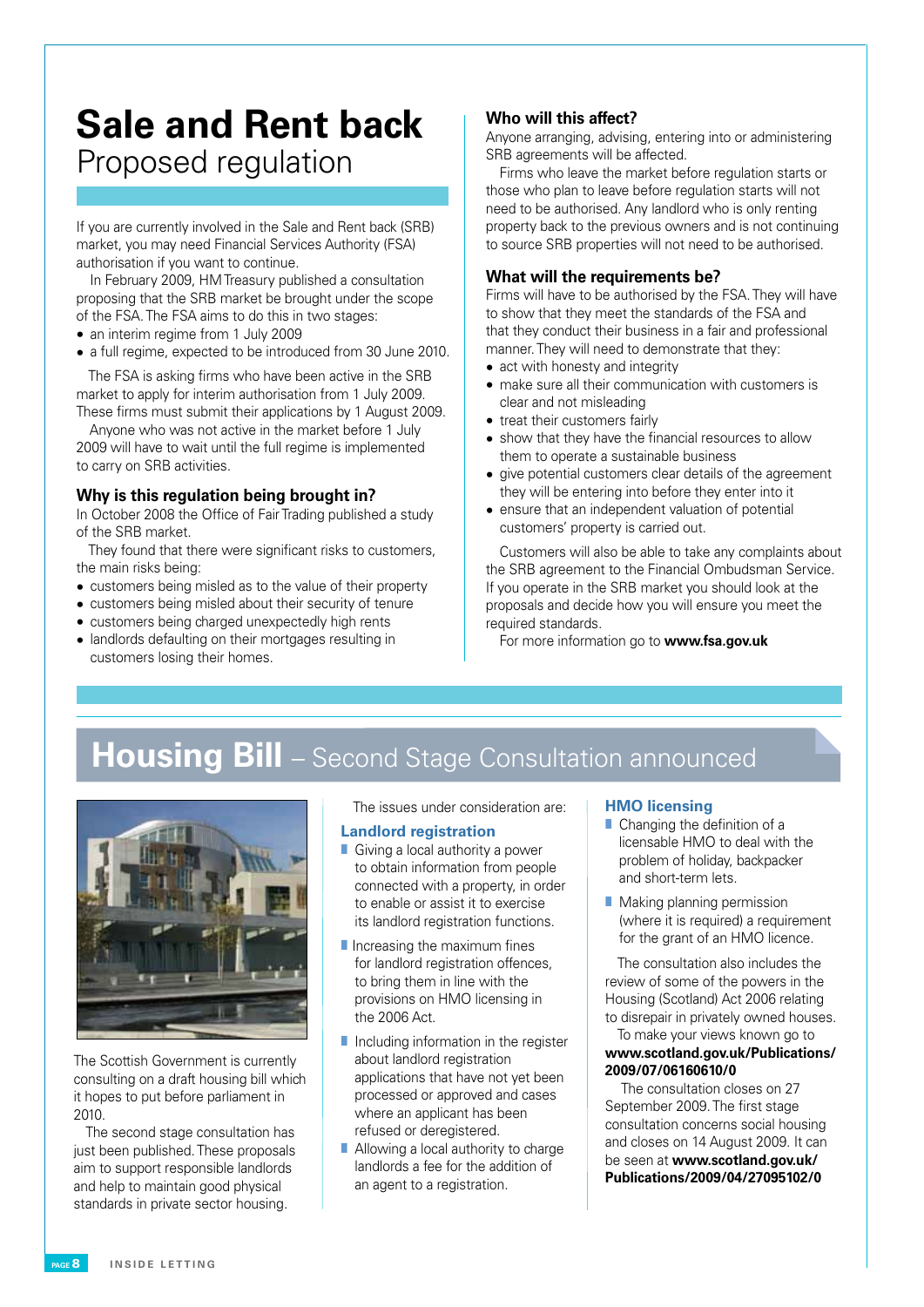### **Sale and Rent back** Proposed regulation

If you are currently involved in the Sale and Rent back (SRB) market, you may need Financial Services Authority (FSA) authorisation if you want to continue.

In February 2009, HM Treasury published a consultation proposing that the SRB market be brought under the scope of the FSA. The FSA aims to do this in two stages:

- an interim regime from 1 July 2009
- a full regime, expected to be introduced from 30 June 2010.

The FSA is asking firms who have been active in the SRB market to apply for interim authorisation from 1 July 2009. These firms must submit their applications by 1 August 2009.

Anyone who was not active in the market before 1 July 2009 will have to wait until the full regime is implemented to carry on SRB activities.

#### **Why is this regulation being brought in?**

In October 2008 the Office of Fair Trading published a study of the SRB market.

They found that there were significant risks to customers, the main risks being:

- customers being misled as to the value of their property
- customers being misled about their security of tenure
- customers being charged unexpectedly high rents
- landlords defaulting on their mortgages resulting in customers losing their homes.

#### **Who will this affect?**

Anyone arranging, advising, entering into or administering SRB agreements will be affected.

Firms who leave the market before regulation starts or those who plan to leave before regulation starts will not need to be authorised. Any landlord who is only renting property back to the previous owners and is not continuing to source SRB properties will not need to be authorised.

#### **What will the requirements be?**

Firms will have to be authorised by the FSA. They will have to show that they meet the standards of the FSA and that they conduct their business in a fair and professional manner. They will need to demonstrate that they:

- act with honesty and integrity
- make sure all their communication with customers is clear and not misleading
- treat their customers fairly
- show that they have the financial resources to allow them to operate a sustainable business
- give potential customers clear details of the agreement they will be entering into before they enter into it
- ensure that an independent valuation of potential customers' property is carried out.

Customers will also be able to take any complaints about the SRB agreement to the Financial Ombudsman Service. If you operate in the SRB market you should look at the proposals and decide how you will ensure you meet the required standards.

For more information go to **www.fsa.gov.uk**

### **Housing Bill** – Second Stage Consultation announced



The Scottish Government is currently consulting on a draft housing bill which it hopes to put before parliament in 2010.

The second stage consultation has just been published. These proposals aim to support responsible landlords and help to maintain good physical standards in private sector housing.

The issues under consideration are:

#### **Landlord registration**

- Giving a local authority a power to obtain information from people connected with a property, in order to enable or assist it to exercise its landlord registration functions.
- Increasing the maximum fines for landlord registration offences. to bring them in line with the provisions on HMO licensing in the 2006 Act.
- Including information in the register about landlord registration applications that have not yet been processed or approved and cases where an applicant has been refused or deregistered.
- Allowing a local authority to charge landlords a fee for the addition of an agent to a registration.

#### **HMO licensing**

- Changing the definition of a licensable HMO to deal with the problem of holiday, backpacker and short-term lets.
- Making planning permission (where it is required) a requirement for the grant of an HMO licence.

The consultation also includes the review of some of the powers in the Housing (Scotland) Act 2006 relating to disrepair in privately owned houses.

#### To make your views known go to **www.scotland.gov.uk/Publications/ 2009/07/06160610/0**

The consultation closes on 27 September 2009. The first stage consultation concerns social housing and closes on 14 August 2009. It can be seen at **www.scotland.gov.uk/ Publications/2009/04/27095102/0**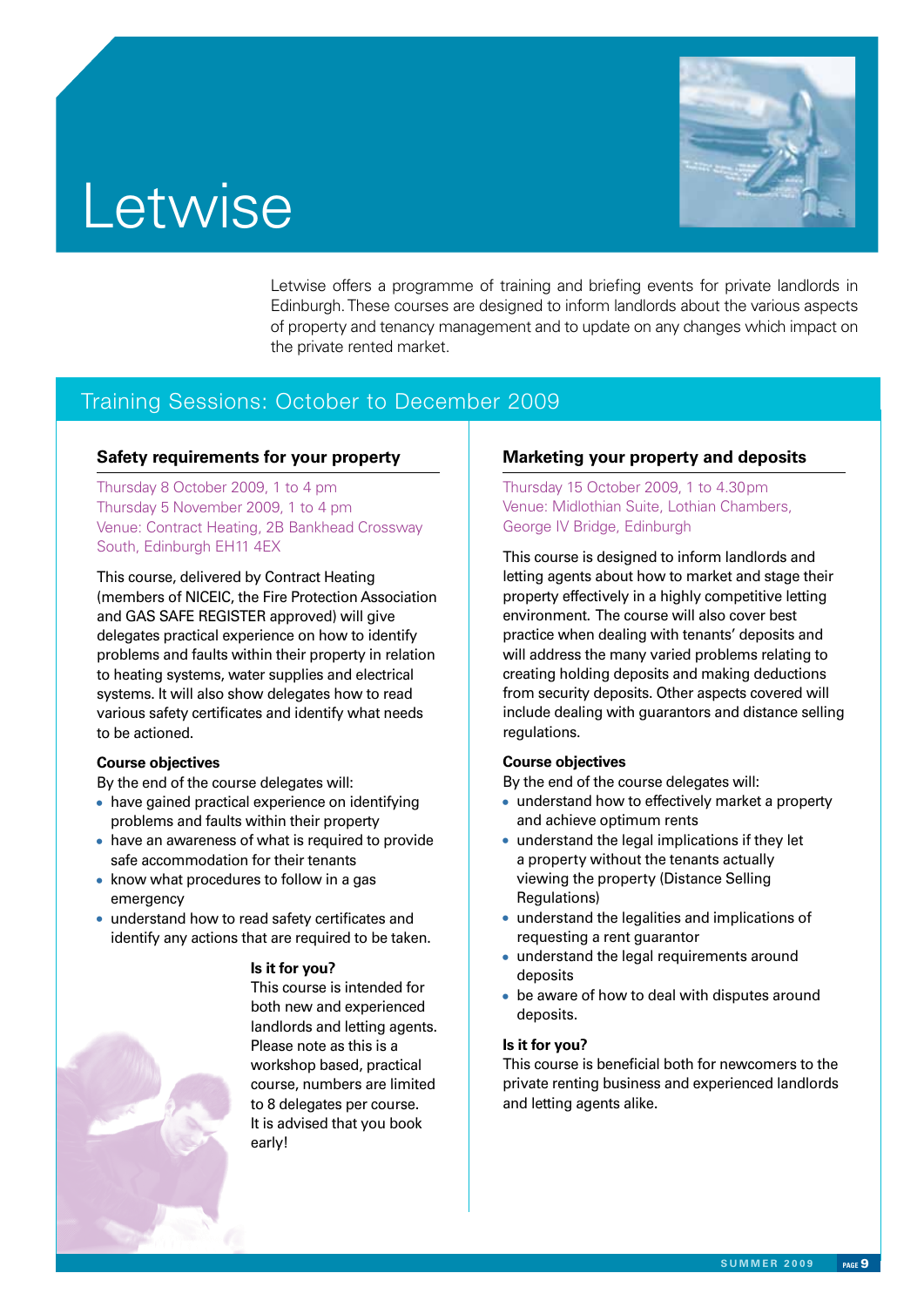



Letwise offers a programme of training and briefing events for private landlords in Edinburgh. These courses are designed to inform landlords about the various aspects of property and tenancy management and to update on any changes which impact on the private rented market.

#### Training Sessions: October to December 2009

#### **Safety requirements for your property**

Thursday 8 October 2009, 1 to 4 pm Thursday 5 November 2009, 1 to 4 pm Venue: Contract Heating, 2B Bankhead Crossway South, Edinburgh EH11 4EX

This course, delivered by Contract Heating (members of NICEIC, the Fire Protection Association and GAS SAFE REGISTER approved) will give delegates practical experience on how to identify problems and faults within their property in relation to heating systems, water supplies and electrical systems. It will also show delegates how to read various safety certificates and identify what needs to be actioned.

#### **Course objectives**

By the end of the course delegates will:

- have gained practical experience on identifying problems and faults within their property
- have an awareness of what is required to provide safe accommodation for their tenants
- know what procedures to follow in a gas emergency
- understand how to read safety certificates and identify any actions that are required to be taken.



**Is it for you?**

This course is intended for both new and experienced landlords and letting agents. Please note as this is a workshop based, practical course, numbers are limited to 8 delegates per course. It is advised that you book early!

#### **Marketing your property and deposits**

Thursday 15 October 2009, 1 to 4.30pm Venue: Midlothian Suite, Lothian Chambers, George IV Bridge, Edinburgh

This course is designed to inform landlords and letting agents about how to market and stage their property effectively in a highly competitive letting environment. The course will also cover best practice when dealing with tenants' deposits and will address the many varied problems relating to creating holding deposits and making deductions from security deposits. Other aspects covered will include dealing with guarantors and distance selling regulations.

#### **Course objectives**

By the end of the course delegates will:

- understand how to effectively market a property and achieve optimum rents
- understand the legal implications if they let a property without the tenants actually viewing the property (Distance Selling Regulations)
- understand the legalities and implications of requesting a rent guarantor
- understand the legal requirements around deposits
- be aware of how to deal with disputes around deposits.

#### **Is it for you?**

This course is beneficial both for newcomers to the private renting business and experienced landlords and letting agents alike.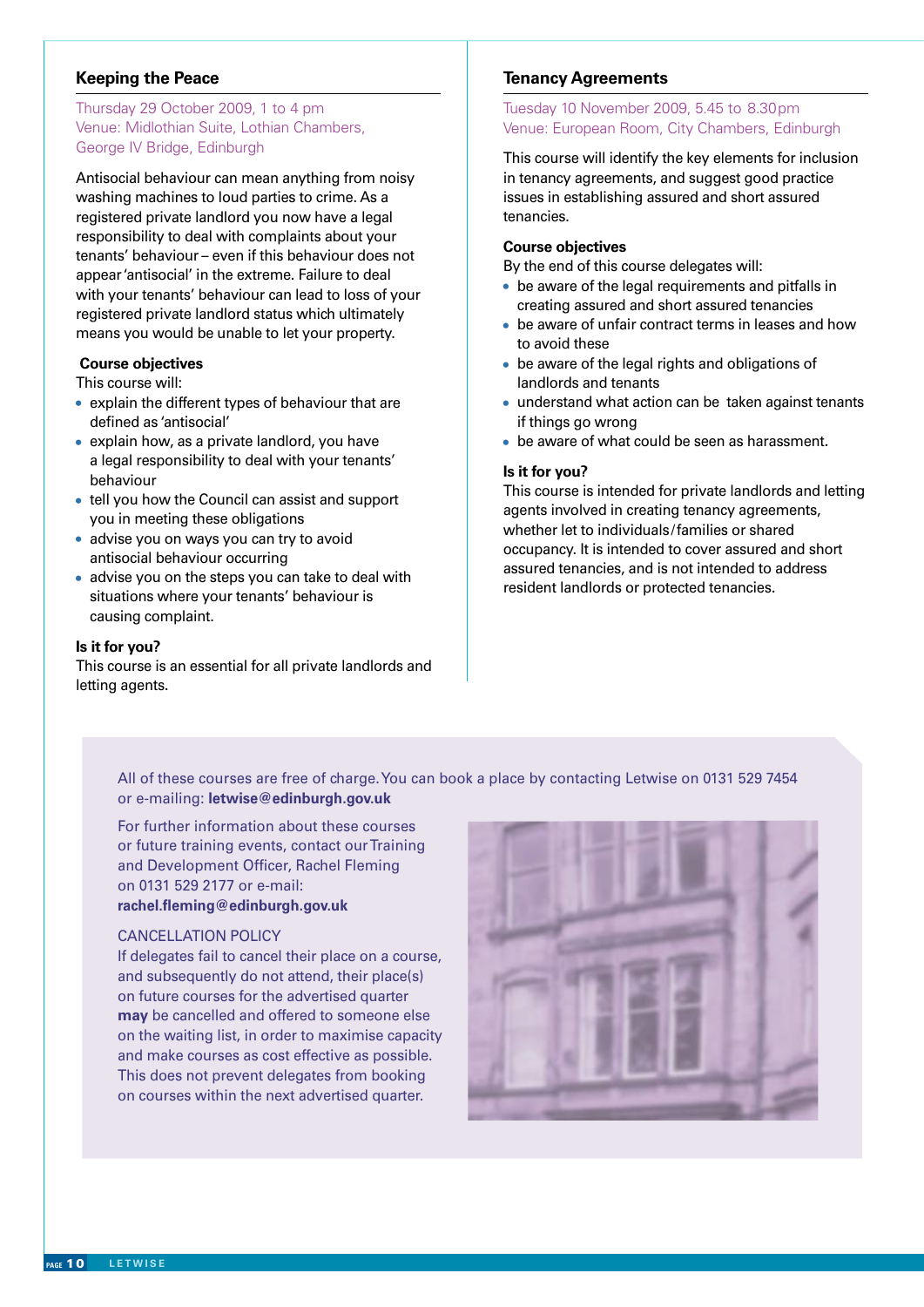#### **Keeping the Peace**

#### Thursday 29 October 2009, 1 to 4 pm Venue: Midlothian Suite, Lothian Chambers, George IV Bridge, Edinburgh

Antisocial behaviour can mean anything from noisy washing machines to loud parties to crime. As a registered private landlord you now have a legal responsibility to deal with complaints about your tenants' behaviour – even if this behaviour does not appear 'antisocial' in the extreme. Failure to deal with your tenants' behaviour can lead to loss of your registered private landlord status which ultimately means you would be unable to let your property.

#### **Course objectives**

This course will:

- explain the different types of behaviour that are defined as 'antisocial'
- explain how, as a private landlord, you have a legal responsibility to deal with your tenants' behaviour
- tell you how the Council can assist and support you in meeting these obligations
- advise you on ways you can try to avoid antisocial behaviour occurring
- advise you on the steps you can take to deal with situations where your tenants' behaviour is causing complaint.

#### **Is it for you?**

This course is an essential for all private landlords and letting agents.

#### **Tenancy Agreements**

#### Tuesday 10 November 2009, 5.45 to 8.30pm Venue: European Room, City Chambers, Edinburgh

This course will identify the key elements for inclusion in tenancy agreements, and suggest good practice issues in establishing assured and short assured tenancies.

#### **Course objectives**

By the end of this course delegates will:

- be aware of the legal requirements and pitfalls in creating assured and short assured tenancies
- be aware of unfair contract terms in leases and how to avoid these
- be aware of the legal rights and obligations of landlords and tenants
- understand what action can be taken against tenants if things go wrong
- be aware of what could be seen as harassment.

#### **Is it for you?**

This course is intended for private landlords and letting agents involved in creating tenancy agreements, whether let to individuals/families or shared occupancy. It is intended to cover assured and short assured tenancies, and is not intended to address resident landlords or protected tenancies.

All of these courses are free of charge. You can book a place by contacting Letwise on 0131 529 7454 or e-mailing: **letwise@edinburgh.gov.uk**

For further information about these courses or future training events, contact our Training and Development Officer, Rachel Fleming on 0131 529 2177 or e-mail: **rachel.fleming@edinburgh.gov.uk**

#### CANCELLATION POLICY

If delegates fail to cancel their place on a course, and subsequently do not attend, their place(s) on future courses for the advertised quarter **may** be cancelled and offered to someone else on the waiting list, in order to maximise capacity and make courses as cost effective as possible. This does not prevent delegates from booking on courses within the next advertised quarter.

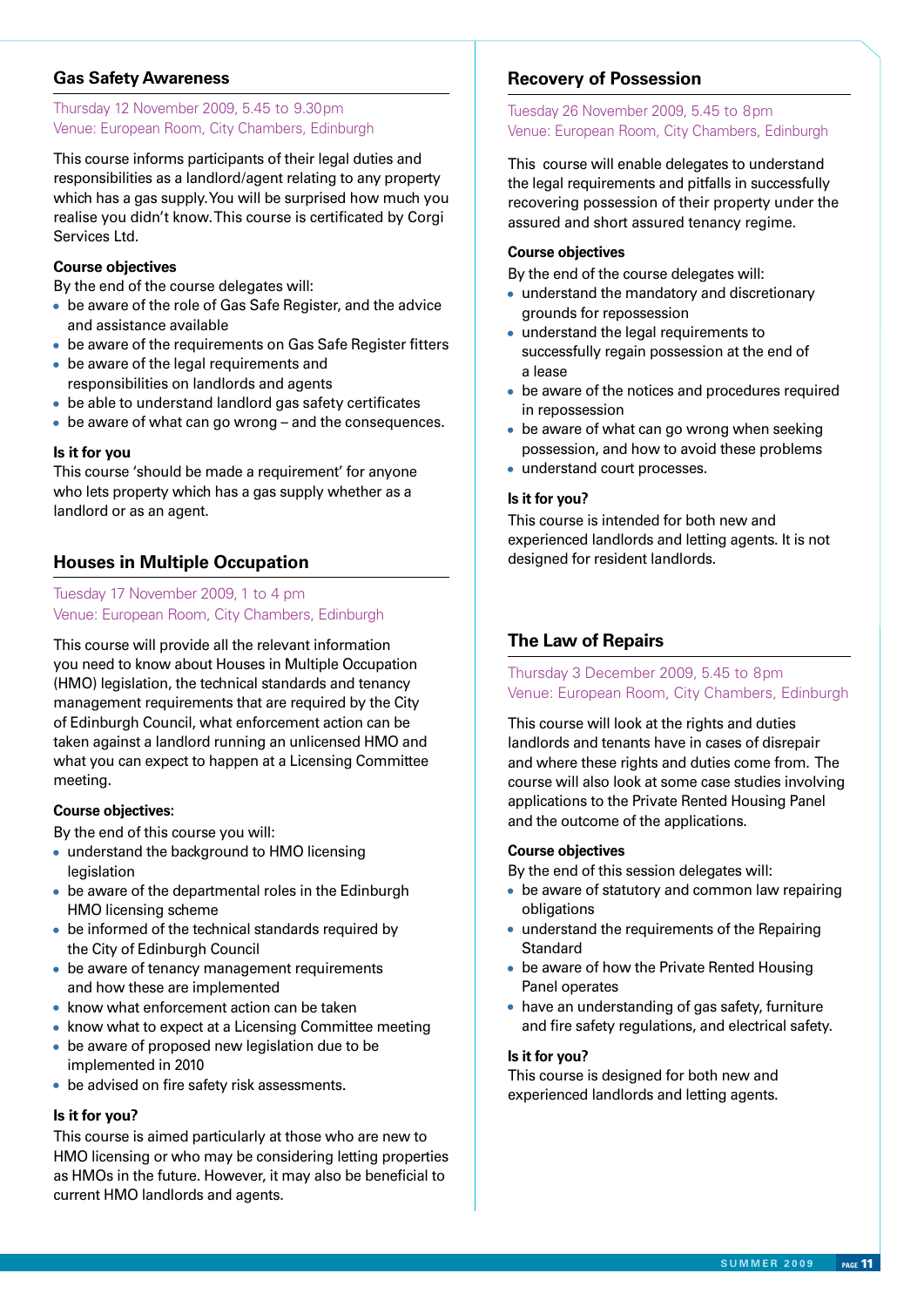#### **Gas Safety Awareness**

#### Thursday 12 November 2009, 5.45 to 9.30pm Venue: European Room, City Chambers, Edinburgh

This course informs participants of their legal duties and responsibilities as a landlord/agent relating to any property which has a gas supply. You will be surprised how much you realise you didn't know. This course is certificated by Corgi Services Ltd.

#### **Course objectives**

By the end of the course delegates will:

- be aware of the role of Gas Safe Register, and the advice and assistance available
- be aware of the requirements on Gas Safe Register fitters
- be aware of the legal requirements and responsibilities on landlords and agents
- be able to understand landlord gas safety certificates
- be aware of what can go wrong and the consequences.

#### **Is it for you**

This course 'should be made a requirement' for anyone who lets property which has a gas supply whether as a landlord or as an agent.

#### **Houses in Multiple Occupation**

#### Tuesday 17 November 2009, 1 to 4 pm Venue: European Room, City Chambers, Edinburgh

This course will provide all the relevant information you need to know about Houses in Multiple Occupation (HMO) legislation, the technical standards and tenancy management requirements that are required by the City of Edinburgh Council, what enforcement action can be taken against a landlord running an unlicensed HMO and what you can expect to happen at a Licensing Committee meeting.

#### **Course objectives:**

By the end of this course you will:

- understand the background to HMO licensing legislation
- be aware of the departmental roles in the Edinburgh HMO licensing scheme
- be informed of the technical standards required by the City of Edinburgh Council
- be aware of tenancy management requirements and how these are implemented
- know what enforcement action can be taken
- know what to expect at a Licensing Committee meeting
- be aware of proposed new legislation due to be implemented in 2010
- be advised on fire safety risk assessments.

#### **Is it for you?**

This course is aimed particularly at those who are new to HMO licensing or who may be considering letting properties as HMOs in the future. However, it may also be beneficial to current HMO landlords and agents.

#### **Recovery of Possession**

#### Tuesday 26 November 2009, 5.45 to 8pm Venue: European Room, City Chambers, Edinburgh

This course will enable delegates to understand the legal requirements and pitfalls in successfully recovering possession of their property under the assured and short assured tenancy regime.

#### **Course objectives**

By the end of the course delegates will:

- understand the mandatory and discretionary grounds for repossession
- understand the legal requirements to successfully regain possession at the end of a lease
- be aware of the notices and procedures required in repossession
- be aware of what can go wrong when seeking possession, and how to avoid these problems
- understand court processes.

#### **Is it for you?**

This course is intended for both new and experienced landlords and letting agents. It is not designed for resident landlords.

#### **The Law of Repairs**

#### Thursday 3 December 2009, 5.45 to 8pm Venue: European Room, City Chambers, Edinburgh

This course will look at the rights and duties landlords and tenants have in cases of disrepair and where these rights and duties come from. The course will also look at some case studies involving applications to the Private Rented Housing Panel and the outcome of the applications.

#### **Course objectives**

By the end of this session delegates will:

- be aware of statutory and common law repairing obligations
- understand the requirements of the Repairing **Standard**
- be aware of how the Private Rented Housing Panel operates
- have an understanding of gas safety, furniture and fire safety regulations, and electrical safety.

#### **Is it for you?**

This course is designed for both new and experienced landlords and letting agents.